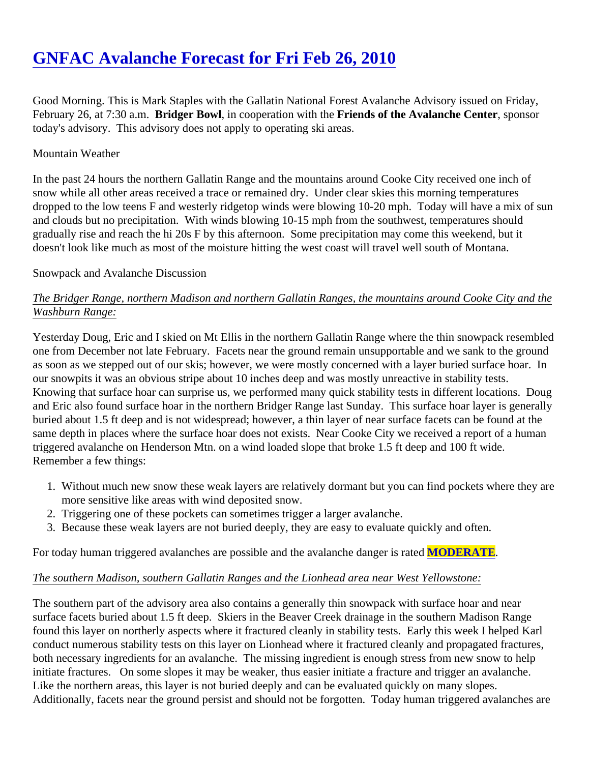# [GNFAC Avalanche Forecast for Fri Feb 26, 201](https://www.mtavalanche.com/forecast/10/02/26)0

Good Morning. This is Mark Staples with the Gallatin National Forest Avalanche Advisory issued on Friday, February 26, at 7:30 a.n Bridger Bowl, in cooperation with the Friends of the Avalanche Center sponsor today's advisory. This advisory does not apply to operating ski areas.

### Mountain Weather

In the past 24 hours the northern Gallatin Range and the mountains around Cooke City received one inch of snow while all other areas received a trace or remained dry. Under clear skies this morning temperatures dropped to the low teens F and westerly ridgetop winds were blowing 10-20 mph. Today will have a mix of sun and clouds but no precipitation. With winds blowing 10-15 mph from the southwest, temperatures should gradually rise and reach the hi 20s F by this afternoon. Some precipitation may come this weekend, but it doesn't look like much as most of the moisture hitting the west coast will travel well south of Montana.

#### Snowpack and Avalanche Discussion

## The Bridger Range, northern Madison and northern Gallatin Ranges, the mountains around Cooke City and the Washburn Range:

Yesterday Doug, Eric and I skied on Mt Ellis in the northern Gallatin Range where the thin snowpack resembled one from December not late February. Facets near the ground remain unsupportable and we sank to the ground as soon as we stepped out of our skis; however, we were mostly concerned with a layer buried surface hoar. our snowpits it was an obvious stripe about 10 inches deep and was mostly unreactive in stability tests. Knowing that surface hoar can surprise us, we performed many quick stability tests in different locations. Do and Eric also found surface hoar in the northern Bridger Range last Sunday. This surface hoar layer is gener buried about 1.5 ft deep and is not widespread; however, a thin layer of near surface facets can be found at the same depth in places where the surface hoar does not exists. Near Cooke City we received a report of a hur triggered avalanche on Henderson Mtn. on a wind loaded slope that broke 1.5 ft deep and 100 ft wide. Remember a few things:

- 1. Without much new snow these weak layers are relatively dormant but you can find pockets where they a more sensitive like areas with wind deposited snow.
- 2. Triggering one of these pockets can sometimes trigger a larger avalanche.
- 3. Because these weak layers are not buried deeply, they are easy to evaluate quickly and often.

For today human triggered avalanches are possible and the avalanche dange MODERATE.

## The southern Madison, southern Gallatin Ranges and the Lionhead area near West Yellowstone:

The southern part of the advisory area also contains a generally thin snowpack with surface hoar and near surface facets buried about 1.5 ft deep. Skiers in the Beaver Creek drainage in the southern Madison Range found this layer on northerly aspects where it fractured cleanly in stability tests. Early this week I helped Karl conduct numerous stability tests on this layer on Lionhead where it fractured cleanly and propagated fracture both necessary ingredients for an avalanche. The missing ingredient is enough stress from new snow to help initiate fractures. On some slopes it may be weaker, thus easier initiate a fracture and trigger an avalanche. Like the northern areas, this layer is not buried deeply and can be evaluated quickly on many slopes. Additionally, facets near the ground persist and should not be forgotten. Today human triggered avalanches